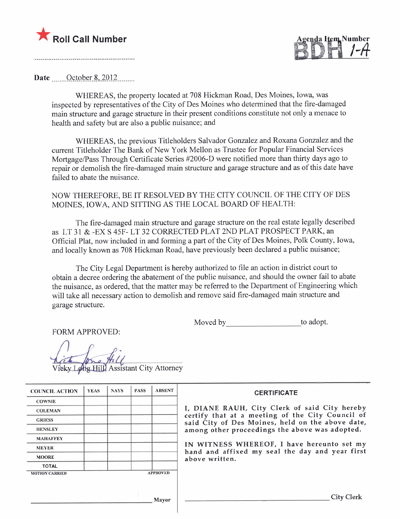

genda Item Number <u>BDITI 7-4</u>

Date .......October 8, 2012

WHEREAS, the property located at 708 Hickman Road, Des Moines, Iowa, was inspected by representatives of the City of Des Moines who determined that the fire-damaged main structure and garage structure in their present conditions constitute not only a menace to health and safety but are also a public nuisance; and

WHEREAS, the previous Titleholders Salvador Gonzalez and Roxana Gonzalez and the current Titleholder The Bank of New York Mellon as Trustee for Popular Financial Services Mortgage/Pass Through Certificate Series #2006-D were notified more than thirty days ago to repair or demolish the fire-damaged main structure and garage structure and as of this date have failed to abate the nuisance.

## NOW THEREFORE, BE IT RESOLVED BY THE CITY COUNCIL OF THE CITY OF DES MOINES, IOWA, AND SITTING AS THE LOCAL BOARD OF HEALTH:

The fire-damaged main structure and garage structure on the real estate legally described as LT 31 & -EX S 45F- LT 32 CORRCTED PLAT 2ND PLAT PROSPECT PARK, an Official Plat, now included in and forming a part of the City of Des Moines, Polk County, Iowa, and locally known as 708 Hickman Road, have previously been declared a public nuisance;

The City Legal Department is hereby authorized to file an action in district court to obtain a decree ordering the abatement of the public nuisance, and should the owner fail to abate the nuisance, as ordered, that the matter may be referred to the Department of Engineering which will take all necessary action to demolish and remove said fire-damaged main structure and garage structure.

Moved by to adopt.

FORM APPROVED:

eky Long Hill Assistant City Attorney

| <b>COUNCIL ACTION</b> | <b>YEAS</b> | <b>NAYS</b> | <b>PASS</b> | <b>ABSENT</b>   | <b>CERTIFICATE</b>                                                                                   |
|-----------------------|-------------|-------------|-------------|-----------------|------------------------------------------------------------------------------------------------------|
| <b>COWNIE</b>         |             |             |             |                 |                                                                                                      |
| <b>COLEMAN</b>        |             |             |             |                 | I, DIANE RAUH, City Clerk of said City hereby                                                        |
| <b>GRIESS</b>         |             |             |             |                 | certify that at a meeting of the City Council of<br>said City of Des Moines, held on the above date, |
| <b>HENSLEY</b>        |             |             |             |                 | among other proceedings the above was adopted.                                                       |
| <b>MAHAFFEY</b>       |             |             |             |                 |                                                                                                      |
| <b>MEYER</b>          |             |             |             |                 | IN WITNESS WHEREOF, I have hereunto set my<br>hand and affixed my seal the day and year first        |
| <b>MOORE</b>          |             |             |             |                 | above written.                                                                                       |
| <b>TOTAL</b>          |             |             |             |                 |                                                                                                      |
| <b>MOTION CARRIED</b> |             |             |             | <b>APPROVED</b> |                                                                                                      |
|                       |             |             |             |                 |                                                                                                      |
|                       |             |             |             |                 |                                                                                                      |
|                       |             |             |             | Mayor           | <b>City Clerk</b>                                                                                    |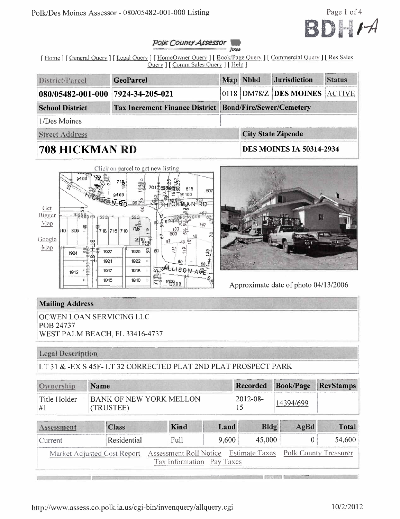

#### POIK COUNCY Assessor **ROUND**

[Home] [General Query] [Legal Query] [HomeOwner Query] [Book/Page Query] [Commercial Query] [Res Sales Query ] [ Comm Sales Query ] [ Help ]

| District/Parcel                   | <b>GeoParcel</b>                                               | Map Nbhd | <b>Jurisdiction</b>                   | <i><b>Status</b></i> |
|-----------------------------------|----------------------------------------------------------------|----------|---------------------------------------|----------------------|
| 080/05482-001-000 7924-34-205-021 |                                                                |          | $ 0118 $ DM78/Z DES MOINES $ ACTIVE $ |                      |
| <b>School District</b>            | <b>Tax Increment Finance District Bond/Fire/Sewer/Cemetery</b> |          |                                       |                      |
| 1/Des Moines                      |                                                                |          |                                       |                      |
| <b>Street Address</b>             |                                                                |          | <b>City State Zipcode</b>             |                      |
| <b>708 HICKMAN RD</b>             |                                                                |          | <b>DES MOINES IA 50314-2934</b>       |                      |





Approximate date of photo 04/13/2006

## **Mailing Address**

OCWEN LOAN SERVICING LLC POB 24737 WEST PALM BEACH, FL 33416-4737

## **Legal Description**

LT 31 & -EX S 45F-LT 32 CORRECTED PLAT 2ND PLAT PROSPECT PARK

| Ownership          | <b>Name</b>                         |             | Recorded Book/Page RevStamps |
|--------------------|-------------------------------------|-------------|------------------------------|
| Title Holder<br>#1 | BANK OF NEW YORK MELLON<br>TRUSTEE) | $ 2012-08-$ |                              |

| Assessment | <b>Class</b>                | Kind                                                        | Land  | Bldg   | AgBd | <b>Total</b> |
|------------|-----------------------------|-------------------------------------------------------------|-------|--------|------|--------------|
| Current    | Residential                 | Full                                                        | 9,600 | 45,000 |      | 54,600       |
|            | Market Adjusted Cost Report | Assessment Roll Notice Estimate Taxes Polk County Treasurer |       |        |      |              |
|            |                             | Tax Information Pay Taxes                                   |       |        |      |              |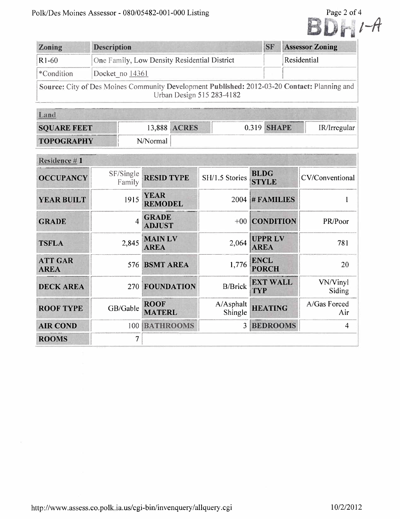|            |                                                                                                                           |           | Page 2 of 4            |  |
|------------|---------------------------------------------------------------------------------------------------------------------------|-----------|------------------------|--|
| Zoning     | <b>Description</b>                                                                                                        | <b>SF</b> | <b>Assessor Zoning</b> |  |
| $R1-60$    | One Family, Low Density Residential District                                                                              |           | Residential            |  |
| *Condition | Docket no 14361                                                                                                           |           |                        |  |
|            | Source: City of Des Moines Community Development Published: 2012-03-20 Contact: Planning and<br>Urban Design 515 283-4182 |           |                        |  |

| <u>Land</u>        |          |              |             |              |
|--------------------|----------|--------------|-------------|--------------|
| <b>SOUARE FEET</b> |          | 13,888 ACRES | 0.319 SHAPE | IR/Irregular |
| <b>TOPOGRAPHY</b>  | N/Normal |              |             |              |

| Residence #1                  |                     |                               |                      |                              |                     |
|-------------------------------|---------------------|-------------------------------|----------------------|------------------------------|---------------------|
| <b>OCCUPANCY</b>              | SF/Single<br>Family | <b>RESID TYPE</b>             | SH/1.5 Stories       | <b>BLDG</b><br><b>STYLE</b>  | CV/Conventional     |
| <b>YEAR BUILT</b>             | 1915                | <b>YEAR</b><br><b>REMODEL</b> |                      | $2004$ # FAMILIES            |                     |
| <b>GRADE</b>                  | $\overline{4}$      | <b>GRADE</b><br><b>ADJUST</b> | $+00$                | <b>CONDITION</b>             | PR/Poor             |
| <b>TSFLA</b>                  | 2,845               | <b>MAINLV</b><br><b>AREA</b>  | 2,064                | <b>UPPRLV</b><br><b>AREA</b> | 781                 |
| <b>ATT GAR</b><br><b>AREA</b> | 576                 | <b>BSMT AREA</b>              | 1,776                | <b>ENCL</b><br><b>PORCH</b>  | 20                  |
| <b>DECK AREA</b>              | 270                 | FOUNDATION                    | <b>B/Brick</b>       | <b>EXT WALL</b><br>TYP       | VN/Vinyl<br>Siding  |
| <b>ROOF TYPE</b>              | GB/Gable            | <b>ROOF</b><br><b>MATERL</b>  | A/Asphalt<br>Shingle | <b>HEATING</b>               | A/Gas Forced<br>Air |
| <b>AIR COND</b>               | 100                 | <b>BATHROOMS</b>              | $\overline{3}$       | <b>BEDROOMS</b>              | $\overline{4}$      |
| <b>ROOMS</b>                  | 7                   |                               |                      |                              |                     |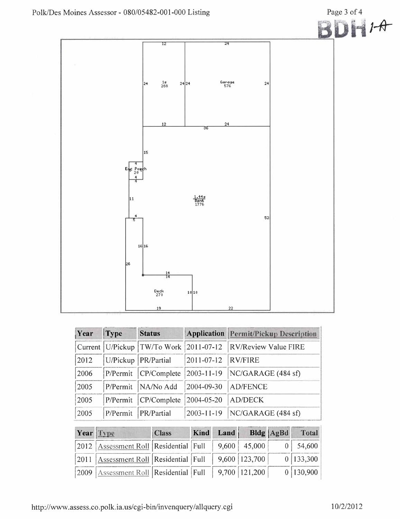

| Year | Type     | <b>Status</b>                                |                  | Application Permit/Pickup Description |
|------|----------|----------------------------------------------|------------------|---------------------------------------|
|      |          | Current   U/Pickup   TW/To Work   2011-07-12 |                  | <b>RV/Review Value FIRE</b>           |
| 2012 |          | U/Pickup   PR/Partial                        | $2011 - 07 - 12$ | <b>RV/FIRE</b>                        |
| 2006 | P/Permit | CP/Complete                                  | $2003 - 11 - 19$ | NC/GARAGE (484 sf)                    |
| 2005 | P/Permit | NA/No Add                                    | 2004-09-30       | <b>AD/FENCE</b>                       |
| 2005 | P/Permit | CP/Complete                                  | 2004-05-20       | AD/DECK                               |
| 2005 | P/Permit | PR/Partial                                   | 2003-11-19       | NC/GARAGE (484 sf)                    |

| Year Type |                                                               | <b>Class</b> | Kind Land |                             | Bldg   AgBd | Total           |
|-----------|---------------------------------------------------------------|--------------|-----------|-----------------------------|-------------|-----------------|
|           | [2012   Assessment Roll   Residential   Full                  |              |           | $9,600$ 45,000              |             | $0 \mid 54,600$ |
|           | [2011   Assessment Roll   Residential   Full                  |              |           | $\parallel$ 9,600   123,700 |             | 0 133,300       |
|           | 2009   Assessment Roll   Residential   Full   9,700   121,200 |              |           |                             |             | 0 130,900       |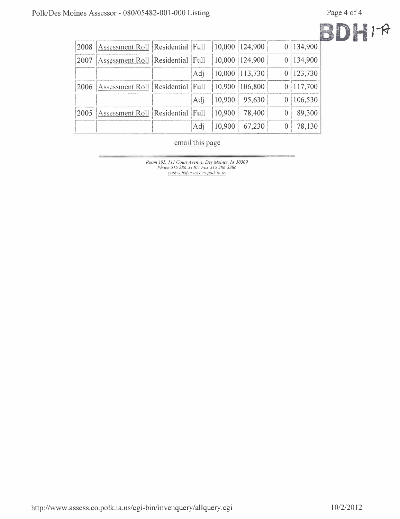II

|--|--|

| 2008 | Assessment Roll   Residential   Full        |     |        | $10,000$ 124,900 | 0 134,900 |
|------|---------------------------------------------|-----|--------|------------------|-----------|
| 2007 | <b>Assessment Roll   Residential   Full</b> |     |        | 10,000 124,900   | 0 134,900 |
|      |                                             | Adj |        | 10,000 113,730   | 0 123,730 |
|      | 2006   Assessment Roll   Residential   Full |     |        | 10,900 106,800   | 117,700   |
|      |                                             | Adj | 10,900 | 95,630           | 106,530   |
| 2005 | Assessment Roll   Residential   Full        |     | 10,900 | 78,400           | 89,300    |
|      |                                             | Adj | 10,900 | 67,230           | 78,130    |

## email this page

Room 195, 111 Court Avenue, Des Moines, 1A 50309<br>Phone 515 286-3140 / Fax 515 286-3386<br>polkweb@ussess.co.polk.ia.us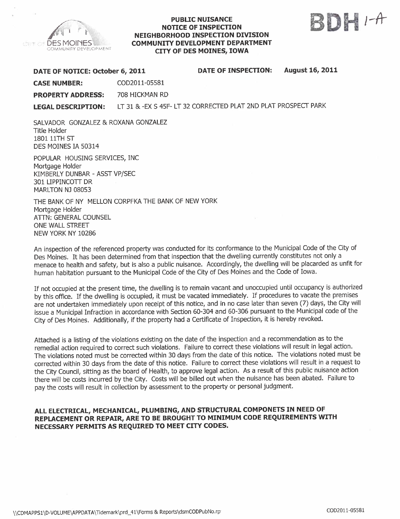

#### PUBLIC NUISANCE NOTICE OF INSPECTION NEIGHBORHOOD INSPECTION DIVISION COMMUNITY DEVELOPMENT DEPARTMENT CITY OF DES MOINES, IOWA



DATE OF NOTICE: October 6, 2011 DATE OF INSPECTION: August 16, 2011

CASE NUMBER: COD2011-05581

PROPERTY ADDRESS: 708 HICKMAN RD

LEGAL DESCRIPTION: LT 31 & -EX S 45F- LT 32 CORRECfED PLAT 2ND PLAT PROSPECf PARK

SALVADOR GONZALEZ & ROXANA GONZALEZ Title Holder 1801 11TH ST DES MOINES IA 50314

POPULAR HOUSING SERVICES, INC Mortgage Holder KIMBERLY DUNBAR - ASST VP/SEC 301 LIPPINCOTT DR MARLTON NJ 08053

THE BANK OF NY MELLON CORPFKA THE BANK OF NEW YORK Mortgage Holder ATTN: GENERAL COUNSEL ONE WALL STREET NEW YORK NY 10286

An inspection of the referenced property was conducted for its conformance to the Municipal Code of the City of Des Moines. It has been determined from that inspection that the dwelling currently constitutes not only a menace to health and safety, but is also a public nuisance. Accordingly, the dwelling will be placarded as unfit for human habitation pursuant to the Municipal Code of the City of Des Moines and the Code of Iowa.

If not occupied at the present time, the dwelling is to remain vacant and unoccupied until occupancy is authorized by this office. If the dwelling is occupied, it must be vacated immediately. If procedures to vacate the premises are not undertaken immediately upon receipt of this notice, and in no case later than seven (7) days, the City will issue a Municipal Infraction in accordance with Section 60-304 and 60-306 pursuant to the Municipal code of the City of Des Moines. Additionally, if the property had a Certificate of Inspection, it is hereby revoked.

Attached is a listing of the violations existing on the date of the inspection and a recommendation as to the remedial action required to correct such violations. Failure to correct these violations will result in legal action. The violations noted must be corrected within 30 days from the date of this notice. The violations noted must be corrected within 30 days from the date of this notice. Failure to correct these violations will result in a request to the City Council, sitting as the board of Health, to approve legal action. As a result of this public nuisance action there will be costs incurred by the City. Costs will be biled out when the nuisance has been abated. Failure to pay the costs will result in collection by assessment to the property or personal judgment.

### ALL ELECTRICAL, MECHANICAL, PLUMBING, AND STRUCTURAL COMPONETS IN NEED OF REPLACEMENT OR REPAIR, ARE TO BE BROUGHT TO MINIMUM CODE REQUIREMENTS WITH NECESSARY PERMITS AS REQUIRED TO MEET CITY CODES.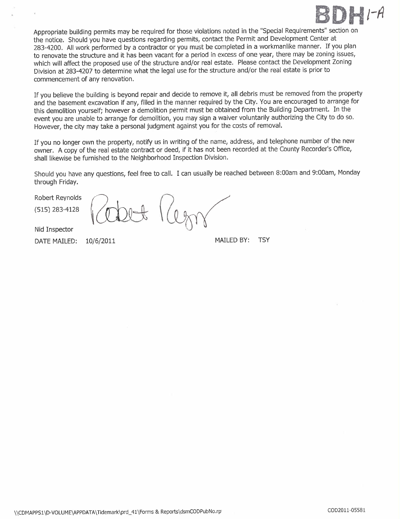

Appropriate building permits may be required for those violations noted in the "Special Requirements" section on the notice. Should you have questions regarding permits, contact the Permit and Development Center at 283-4200. All work performed by a contractor or you must be completed in a workmanlike manner. If you plan to renovate the structure and it has been vacant for a period in excess of one year, there may be zoning issues, which will affect the proposed use of the structure and/or real estate. Please contact the Development Zoning Division at 283-4207 to determine what the legal use for the structure and/or the real estate is prior to commencement of any renovation.

If you believe the building is beyond repair and decide to remove it, all debris must be removed from the property and the basement excavation if any, filled in the manner required by the City. You are encouraged to arrange for this demolition yourself; however a demolition permit must be obtained from the Building Department. In the event you are unable to arrange for demolition, you may sign a waiver voluntarily authorizing the City to do so. However, the city may take a personal judgment against you for the costs of removaL.

If you no longer own the property, notify us in writing of the name, address, and telephone number of the new owner. A copy of the real estate contract or deed, if it has not been recorded at the County Recorder's Office, shall likewise be furnished to the Neighborhood Inspection Division.

Should you have any questions, feel free to calL. I can usually be reached between 8:00am and 9:00am, Monday through Friday.

Robert Reynolds

(515) 283-4128

Nid Inspector

DATE MAILED: 10/6/2011 MAILED BY: TSY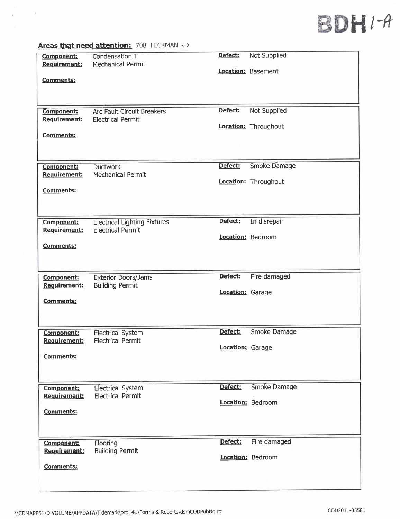# BDHI-A

#### Component: Reauirement: Condensation T Mechanical Permit Comments: Defect: Not Supplied Location: Basement Component: Reauirement: Comments: Arc Fault Circuit Breakers Electrical Permit Defect: Not Supplied Location: Throughout Component: Reauirement: Comments: Ductwork Mechanical Permit Defect: Smoke Damage Location: Throughout Component: Reauirement: Comments: Electrical Lighting Fixtures Electrical Permit Defect: In disrepair Location: Bedroom Component: Reauirement: Exterior Doors/Jams Building Permit Comments: Defect: Fire damaged Location: Garage Component: Requirement: Comments: Electrical System Electrical Permit Defect: Smoke Damage Location: Garage Component: Requirement: Comments: Electrical System Electrical Permit Defect: Smoke Damage Location: Bedroom Component: Requirement: Flooring Building Permit Location: Bedroom Comments: Defect: Fire damaged